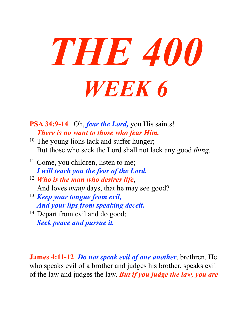

**PSA 34:9-14** Oh, *fear the Lord,* you His saints! *There is no want to those who fear Him.* 

- <sup>10</sup> The young lions lack and suffer hunger; But those who seek the Lord shall not lack any good *thing*.
- <sup>11</sup> Come, you children, listen to me; *I will teach you the fear of the Lord.*
- <sup>12</sup> *Who is the man who desires life*, And loves *many* days, that he may see good?
- <sup>13</sup> *Keep your tongue from evil, And your lips from speaking deceit.*
- <sup>14</sup> Depart from evil and do good; *Seek peace and pursue it.*

**James 4:11-12** *Do not speak evil of one another*, brethren. He who speaks evil of a brother and judges his brother, speaks evil of the law and judges the law. *But if you judge the law, you are*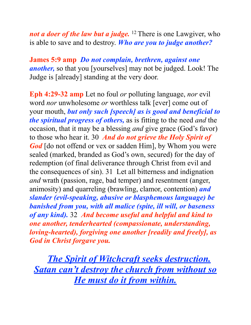*not a doer of the law but a judge*. <sup>12</sup> There is one Lawgiver, who is able to save and to destroy. *Who are you to judge another?*

**James 5:9 amp** *Do not complain, brethren, against one another,* so that you [yourselves] may not be judged. Look! The Judge is [already] standing at the very door.

**Eph 4:29-32 amp** Let no foul *or* polluting language, *nor* evil word *nor* unwholesome *or* worthless talk [ever] come out of your mouth, *but only such [speech] as is good and beneficial to the spiritual progress of others,* as is fitting to the need *and* the occasion, that it may be a blessing *and* give grace (God's favor) to those who hear it. 30 *And do not grieve the Holy Spirit of*  God [do not offend or vex or sadden Him], by Whom you were sealed (marked, branded as God's own, secured) for the day of redemption (of final deliverance through Christ from evil and the consequences of sin). 31 Let all bitterness and indignation *and* wrath (passion, rage, bad temper) and resentment (anger, animosity) and quarreling (brawling, clamor, contention) *and slander (evil-speaking, abusive or blasphemous language) be banished from you, with all malice (spite, ill will, or baseness of any kind).* 32 *And become useful and helpful and kind to one another, tenderhearted (compassionate, understanding, loving-hearted), forgiving one another [readily and freely], as God in Christ forgave you.*

*The Spirit of Witchcraft seeks destruction. Satan can't destroy the church from without so He must do it from within.*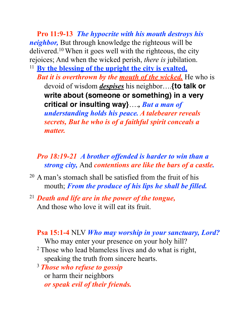**Pro 11:9-13** *The hypocrite with his mouth destroys his neighbor,* But through knowledge the righteous will be delivered.10 When it goes well with the righteous, the city rejoices; And when the wicked perish, *there is* jubilation.

<sup>11</sup> **By the blessing of the upright the city is exalted,** *But it is overthrown by the mouth of the wicked.* He who is devoid of wisdom *despises* his neighbor….**{to talk or write about (someone or something) in a very critical or insulting way}**….*, But a man of understanding holds his peace. A talebearer reveals secrets, But he who is of a faithful spirit conceals a matter.* 

#### *Pro 18:19-21 A brother offended is harder to win than a strong city,* And *contentions are like the bars of a castle.*

- 20 A man's stomach shall be satisfied from the fruit of his mouth; *From the produce of his lips he shall be filled.*
- <sup>21</sup> *Death and life are in the power of the tongue,* And those who love it will eat its fruit.

**Psa 15:1-4** NLV *Who may worship in your sanctuary, Lord?*

Who may enter your presence on your holy hill?

- 2 Those who lead blameless lives and do what is right, speaking the truth from sincere hearts.
- <sup>3</sup>*Those who refuse to gossip* or harm their neighbors *or speak evil of their friends.*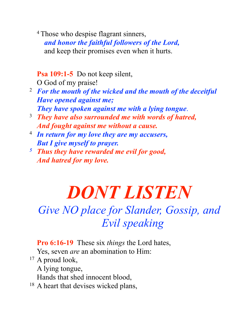<sup>4</sup> Those who despise flagrant sinners, *and honor the faithful followers of the Lord,* and keep their promises even when it hurts.

**Psa 109:1-5** Do not keep silent,

O God of my praise!

- 2 *For the mouth of the wicked and the mouth of the deceitful Have opened against me; They have spoken against me with a lying tongue*.
- 3 *They have also surrounded me with words of hatred, And fought against me without a cause.*
- 4 *In return for my love they are my accusers, But I give myself to prayer.*
- *5 Thus they have rewarded me evil for good, And hatred for my love.*

# *DONT LISTEN*

## *Give NO place for Slander, Gossip, and Evil speaking*

**Pro 6:16-19** These six *things* the Lord hates, Yes, seven *are* an abomination to Him:

<sup>17</sup> A proud look,

A lying tongue,

Hands that shed innocent blood,

<sup>18</sup> A heart that devises wicked plans,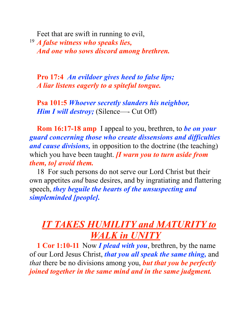Feet that are swift in running to evil,

<sup>19</sup> *A false witness who speaks lies, And one who sows discord among brethren.*

**Pro 17:4** *An evildoer gives heed to false lips; A liar listens eagerly to a spiteful tongue.* 

**Psa 101:5** *Whoever secretly slanders his neighbor, Him I will destroy;* (Silence—- Cut Off)

**Rom 16:17-18 amp** I appeal to you, brethren, to *be on your guard concerning those who create dissensions and difficulties and cause divisions,* in opposition to the doctrine (the teaching) which you have been taught. *[I warn you to turn aside from them, to] avoid them.* 

18 For such persons do not serve our Lord Christ but their own appetites *and* base desires, and by ingratiating and flattering speech, *they beguile the hearts of the unsuspecting and simpleminded [people].*

### *IT TAKES HUMILITY and MATURITY to WALK in UNITY*

**1 Cor 1:10-11** Now *I plead with you*, brethren, by the name of our Lord Jesus Christ, *that you all speak the same thing,* and *that* there be no divisions among you, *but that you be perfectly joined together in the same mind and in the same judgment.*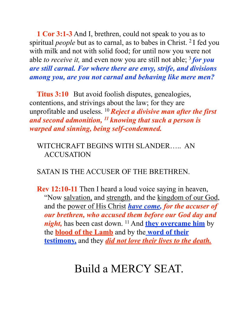**1 Cor 3:1-3** And I, brethren, could not speak to you as to spiritual *people* but as to carnal, as to babes in Christ. 2 I fed you with milk and not with solid food; for until now you were not able *to receive it*, and even now you are still not able; <sup>3</sup> for you *are still carnal. For where there are envy, strife, and divisions among you, are you not carnal and behaving like mere men?*

**Titus 3:10** But avoid foolish disputes, genealogies, contentions, and strivings about the law; for they are unprofitable and useless. 10 *Reject a divisive man after the first and second admonition, 11 knowing that such a person is warped and sinning, being self-condemned.*

WITCHCRAFT BEGINS WITH SLANDER….. AN **ACCUSATION** 

SATAN IS THE ACCUSER OF THE BRETHREN.

**Rev 12:10-11** Then I heard a loud voice saying in heaven, "Now salvation, and strength, and the kingdom of our God, and the power of His Christ *have come, for the accuser of our brethren, who accused them before our God day and night*, has been cast down. <sup>11</sup> And **they overcame him** by the **blood of the Lamb** and by the **word of their testimony,** and they *did not love their lives to the death.*

## Build a MERCY SEAT.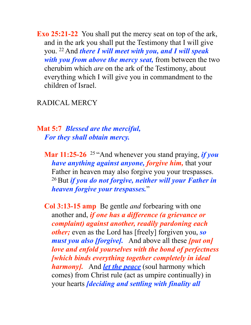**Exo 25:21-22** You shall put the mercy seat on top of the ark, and in the ark you shall put the Testimony that I will give you. 22 And *there I will meet with you, and I will speak with you from above the mercy seat,* from between the two cherubim which *are* on the ark of the Testimony, about everything which I will give you in commandment to the children of Israel.

#### RADICAL MERCY

#### **Mat 5:7** *Blessed are the merciful, For they shall obtain mercy.*

**Mar 11:25-26** 25 "And whenever you stand praying, *if you have anything against anyone, forgive him,* that your Father in heaven may also forgive you your trespasses. 26 But *if you do not forgive, neither will your Father in heaven forgive your trespasses.*"

**Col 3:13-15 amp** Be gentle *and* forbearing with one another and, *if one has a difference (a grievance or complaint) against another, readily pardoning each other;* even as the Lord has [freely] forgiven you, *so must you also [forgive].* And above all these *[put on] love and enfold yourselves with the bond of perfectness [which binds everything together completely in ideal harmony].* And *let the peace* (soul harmony which comes) from Christ rule (act as umpire continually) in your hearts *[deciding and settling with finality all*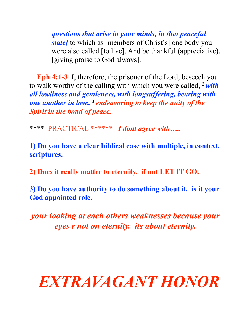*questions that arise in your minds, in that peaceful state]* to which as [members of Christ's] one body you were also called [to live]. And be thankful (appreciative), [giving praise to God always].

**Eph 4:1-3** I, therefore, the prisoner of the Lord, beseech you to walk worthy of the calling with which you were called, 2 *with all lowliness and gentleness, with longsuffering, bearing with one another in love,* <sup>3</sup>*endeavoring to keep the unity of the Spirit in the bond of peace.*

\*\*\*\* PRACTICAL \*\*\*\*\*\* *I dont agree with…..* 

**1) Do you have a clear biblical case with multiple, in context, scriptures.**

**2) Does it really matter to eternity. if not LET IT GO.**

**3) Do you have authority to do something about it. is it your God appointed role.**

*your looking at each others weaknesses because your eyes r not on eternity. its about eternity.* 

## *EXTRAVAGANT HONOR*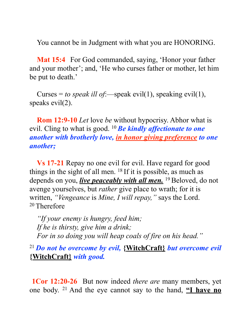You cannot be in Judgment with what you are HONORING.

**Mat 15:4** For God commanded, saying, 'Honor your father and your mother'; and, 'He who curses father or mother, let him be put to death.'

Curses = *to speak ill of*:—speak evil(1), speaking evil(1), speaks evil(2).

**Rom 12:9-10** *Let* love *be* without hypocrisy. Abhor what is evil. Cling to what is good. 10 *Be kindly affectionate to one another with brotherly love, in honor giving preference to one another;*

**Vs 17-21** Repay no one evil for evil. Have regard for good things in the sight of all men. 18 If it is possible, as much as depends on you, *live peaceably with all men.* 19 Beloved, do not avenge yourselves, but *rather* give place to wrath; for it is written, *"Vengeance* is *Mine, I will repay,"* says the Lord. 20 Therefore

*"If your enemy is hungry, feed him; If he is thirsty, give him a drink; For in so doing you will heap coals of fire on his head."*

<sup>21</sup>*Do not be overcome by evil,* **{WitchCraft}** *but overcome evil*  **{WitchCraft}** *with good.*

**1Cor 12:20-26** But now indeed *there are* many members, yet one body. 21 And the eye cannot say to the hand, **"I have no**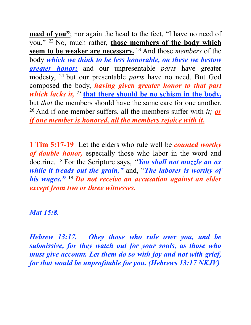**need of you"**; nor again the head to the feet, "I have no need of you." 22 No, much rather, **those members of the body which seem to be weaker are necessary.** 23 And those *members* of the body *which we think to be less honorable, on these we bestow greater honor;* and our unpresentable *parts* have greater modesty, 24 but our presentable *parts* have no need. But God composed the body, *having given greater honor to that part which lacks it,* <sup>25</sup> that there should be no schism in the body, but *that* the members should have the same care for one another. 26 And if one member suffers, all the members suffer with *it; or if one member is honored, all the members rejoice with it.*

**1 Tim 5:17-19** Let the elders who rule well be *counted worthy of double honor,* especially those who labor in the word and doctrine. 18 For the Scripture says, *"You shall not muzzle an ox while it treads out the grain,"* and, "*The laborer is worthy of his wages."* <sup>19</sup>*Do not receive an accusation against an elder except from two or three witnesses.*

*Mat 15:8.* 

*Hebrew 13:17. Obey those who rule over you, and be submissive, for they watch out for your souls, as those who must give account. Let them do so with joy and not with grief, for that would be unprofitable for you. (Hebrews 13:17 NKJV)*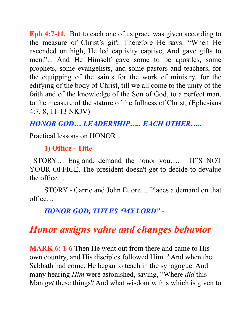**Eph 4:7-11.** But to each one of us grace was given according to the measure of Christ's gift. Therefore He says: "When He ascended on high, He led captivity captive, And gave gifts to men."... And He Himself gave some to be apostles, some prophets, some evangelists, and some pastors and teachers, for the equipping of the saints for the work of ministry, for the edifying of the body of Christ, till we all come to the unity of the faith and of the knowledge of the Son of God, to a perfect man, to the measure of the stature of the fullness of Christ; (Ephesians 4:7, 8, 11-13 NKJV)

*HONOR GOD… LEADERSHIP….. EACH OTHER…..* 

Practical lessons on HONOR…

**1) Office - Title**

 STORY… England, demand the honor you…. IT'S NOT YOUR OFFICE, The president doesn't get to decide to devalue the office…

 STORY - Carrie and John Ettore… Places a demand on that office…

*HONOR GOD, TITLES "MY LORD" -*

## *Honor assigns value and changes behavior*

**MARK 6: 1-6** Then He went out from there and came to His own country, and His disciples followed Him. 2 And when the Sabbath had come, He began to teach in the synagogue. And many hearing *Him* were astonished, saying, "Where *did* this Man *get* these things? And what wisdom *is* this which is given to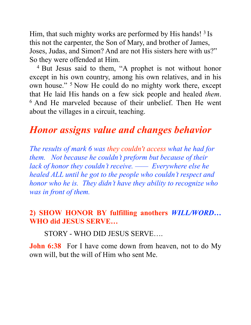Him, that such mighty works are performed by His hands! <sup>3</sup> Is this not the carpenter, the Son of Mary, and brother of James, Joses, Judas, and Simon? And are not His sisters here with us?" So they were offended at Him.

<sup>4</sup> But Jesus said to them, "A prophet is not without honor except in his own country, among his own relatives, and in his own house." 5 Now He could do no mighty work there, except that He laid His hands on a few sick people and healed *them*. 6 And He marveled because of their unbelief. Then He went about the villages in a circuit, teaching.

## *Honor assigns value and changes behavior*

*The results of mark 6 was they couldn't access what he had for them. Not because he couldn't preform but because of their lack of honor they couldn't receive. —— Everywhere else he healed ALL until he got to the people who couldn't respect and honor who he is. They didn't have they ability to recognize who was in front of them.* 

### **2) SHOW HONOR BY fulfilling anothers** *WILL/WORD…* **WHO did JESUS SERVE…**

STORY - WHO DID JESUS SERVE….

**John 6:38** For I have come down from heaven, not to do My own will, but the will of Him who sent Me.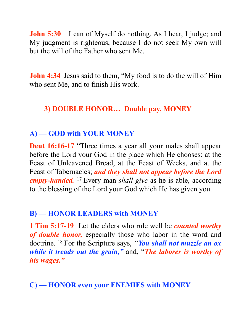**John 5:30** I can of Myself do nothing. As I hear, I judge; and My judgment is righteous, because I do not seek My own will but the will of the Father who sent Me.

**John 4:34** Jesus said to them, "My food is to do the will of Him who sent Me, and to finish His work.

### **3) DOUBLE HONOR… Double pay, MONEY**

### **A) — GOD with YOUR MONEY**

**Deut 16:16-17** "Three times a year all your males shall appear before the Lord your God in the place which He chooses: at the Feast of Unleavened Bread, at the Feast of Weeks, and at the Feast of Tabernacles; *and they shall not appear before the Lord empty-handed.* 17 Every man *shall give* as he is able, according to the blessing of the Lord your God which He has given you.

### **B) — HONOR LEADERS with MONEY**

**1 Tim 5:17-19** Let the elders who rule well be *counted worthy of double honor,* especially those who labor in the word and doctrine. 18 For the Scripture says, *"You shall not muzzle an ox while it treads out the grain,"* and, "*The laborer is worthy of his wages."*

**C) — HONOR even your ENEMIES with MONEY**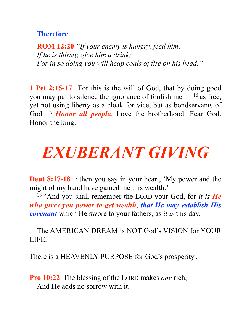#### **Therefore**

**ROM 12:20** *"If your enemy is hungry, feed him; If he is thirsty, give him a drink; For in so doing you will heap coals of fire on his head."*

**1 Pet 2:15-17** For this is the will of God, that by doing good you may put to silence the ignorance of foolish men— $^{16}$  as free, yet not using liberty as a cloak for vice, but as bondservants of God. <sup>17</sup> *Honor all people*. Love the brotherhood. Fear God. Honor the king.

## *EXUBERANT GIVING*

**Deut 8:17-18** <sup>17</sup> then you say in your heart, 'My power and the might of my hand have gained me this wealth.'

18 "And you shall remember the LORD your God, for *it is He who gives you power to get wealth*, *that He may establish His covenant* which He swore to your fathers, as *it is* this day.

The AMERICAN DREAM is NOT God's VISION for YOUR LIFE.

There is a HEAVENLY PURPOSE for God's prosperity..

**Pro 10:22** The blessing of the LORD makes *one* rich, And He adds no sorrow with it.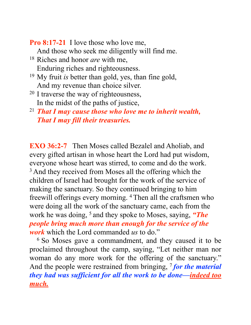**Pro 8:17-21** I love those who love me,

And those who seek me diligently will find me.

- 18 Riches and honor *are* with me, Enduring riches and righteousness.
- 19 My fruit *is* better than gold, yes, than fine gold, And my revenue than choice silver.
- 20 I traverse the way of righteousness, In the midst of the paths of justice,
- <sup>21</sup> *That I may cause those who love me to inherit wealth, That I may fill their treasuries.*

**EXO 36:2-7** Then Moses called Bezalel and Aholiab, and every gifted artisan in whose heart the Lord had put wisdom, everyone whose heart was stirred, to come and do the work. <sup>3</sup> And they received from Moses all the offering which the children of Israel had brought for the work of the service of making the sanctuary. So they continued bringing to him freewill offerings every morning. 4 Then all the craftsmen who were doing all the work of the sanctuary came, each from the work he was doing, 5 and they spoke to Moses, saying, *"The people bring much more than enough for the service of the work* which the Lord commanded *us* to do."

6 So Moses gave a commandment, and they caused it to be proclaimed throughout the camp, saying, "Let neither man nor woman do any more work for the offering of the sanctuary." And the people were restrained from bringing, <sup>7</sup> for the material *they had was sufficient for all the work to be done—indeed too much.*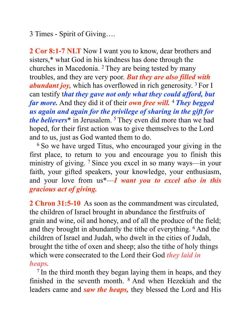3 Times - Spirit of Giving….

**2 Cor 8:1-7 NLT** Now I want you to know, dear brothers and sisters,\* what God in his kindness has done through the churches in Macedonia. 2 They are being tested by many troubles, and they are very poor. *But they are also filled with abundant joy,* which has overflowed in rich generosity. 3 For I can testify t*hat they gave not only what they could afford, but far more.* And they did it of their *own free will.* <sup>4</sup>*They begged us again and again for the privilege of sharing in the gift for the believers*\* in Jerusalem. 5 They even did more than we had hoped, for their first action was to give themselves to the Lord and to us, just as God wanted them to do.

<sup>6</sup> So we have urged Titus, who encouraged your giving in the first place, to return to you and encourage you to finish this ministry of giving. <sup>7</sup> Since you excel in so many ways—in your faith, your gifted speakers, your knowledge, your enthusiasm, and your love from us\*—*I want you to excel also in this gracious act of giving.*

**2 Chron 31:5-10** As soon as the commandment was circulated, the children of Israel brought in abundance the firstfruits of grain and wine, oil and honey, and of all the produce of the field; and they brought in abundantly the tithe of everything. 6 And the children of Israel and Judah, who dwelt in the cities of Judah, brought the tithe of oxen and sheep; also the tithe of holy things which were consecrated to the Lord their God *they laid in heaps.*

7 In the third month they began laying them in heaps, and they finished in the seventh month. 8 And when Hezekiah and the leaders came and *saw the heaps,* they blessed the Lord and His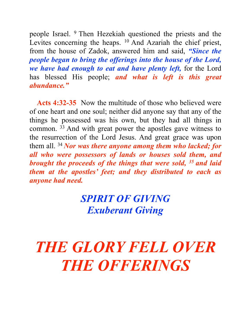people Israel. 9 Then Hezekiah questioned the priests and the Levites concerning the heaps. <sup>10</sup> And Azariah the chief priest, from the house of Zadok, answered him and said, *"Since the people began to bring the offerings into the house of the Lord, we have had enough to eat and have plenty left,* for the Lord has blessed His people; *and what is left is this great abundance."*

Acts 4:32-35 Now the multitude of those who believed were of one heart and one soul; neither did anyone say that any of the things he possessed was his own, but they had all things in common. 33 And with great power the apostles gave witness to the resurrection of the Lord Jesus. And great grace was upon them all. 34 *Nor was there anyone among them who lacked; for all who were possessors of lands or houses sold them, and brought the proceeds of the things that were sold, 35 and laid them at the apostles' feet; and they distributed to each as anyone had need.*

## *SPIRIT OF GIVING Exuberant Giving*

## *THE GLORY FELL OVER THE OFFERINGS*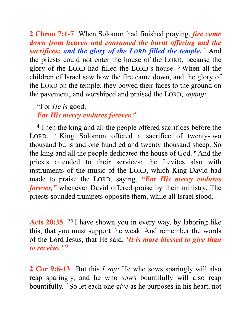**2 Chron 7:1-7** When Solomon had finished praying, *fire came down from heaven and consumed the burnt offering and the sacrifices; and the glory of the LORD filled the temple.* 2 And the priests could not enter the house of the LORD, because the glory of the LORD had filled the LORD's house. 3 When all the children of Israel saw how the fire came down, and the glory of the LORD on the temple, they bowed their faces to the ground on the pavement, and worshiped and praised the LORD, *saying:* 

"For *He is* good, *For His mercy endures forever."* 

4 Then the king and all the people offered sacrifices before the LORD. <sup>5</sup> King Solomon offered a sacrifice of twenty-two thousand bulls and one hundred and twenty thousand sheep. So the king and all the people dedicated the house of God. 6 And the priests attended to their services; the Levites also with instruments of the music of the LORD, which King David had made to praise the LORD, saying, *"For His mercy endures forever,"* whenever David offered praise by their ministry. The priests sounded trumpets opposite them, while all Israel stood.

Acts 20:35 <sup>35</sup> I have shown you in every way, by laboring like this, that you must support the weak. And remember the words of the Lord Jesus, that He said, *'It is more blessed to give than to receive.' "* 

**2 Cor 9:6-13** But this *I say:* He who sows sparingly will also reap sparingly, and he who sows bountifully will also reap bountifully. 7 So let each one *give* as he purposes in his heart, not